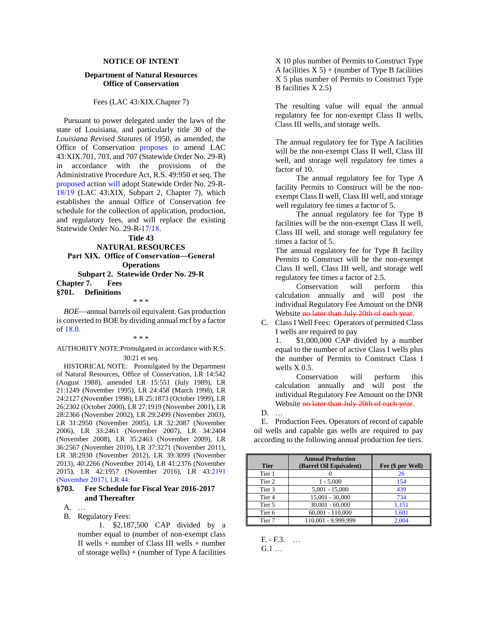### **NOTICE OF INTENT**

# **Department of Natural Resources Office of Conservation**

### Fees (LAC 43:XIX.Chapter 7)

Pursuant to power delegated under the laws of the state of Louisiana, and particularly title 30 of the *Louisiana Revised Statutes* of 1950, as amended, the Office of Conservation proposes to amend LAC 43:XIX.701, 703, and 707 (Statewide Order No. 29-R) in accordance with the provisions of the Administrative Procedure Act, R.S. 49:950 et seq. The proposed action will adopt Statewide Order No. 29-R-18/19 (LAC 43:XIX, Subpart 2, Chapter 7), which establishes the annual Office of Conservation fee schedule for the collection of application, production, and regulatory fees, and will replace the existing Statewide Order No. 29-R-17/18.

**Title 43**

# **NATURAL RESOURCES Part XIX. Office of Conservation―General Operations Subpart 2. Statewide Order No. 29-R Chapter 7. Fees §701. Definitions** \* \* \*

*BOE*—annual barrels oil equivalent. Gas production is converted to BOE by dividing annual mcf by a factor of 18.0.

\* \* \*

### AUTHORITY NOTE:Promulgated in accordance with R.S. 30:21 et seq.

HISTORICAL NOTE: Promulgated by the Department of Natural Resources, Office of Conservation, LR 14:542 (August 1988), amended LR 15:551 (July 1989), LR 21:1249 (November 1995), LR 24:458 (March 1998), LR 24:2127 (November 1998), LR 25:1873 (October 1999), LR 26:2302 (October 2000), LR 27:1919 (November 2001), LR 28:2366 (November 2002), LR 29:2499 (November 2003), LR 31:2950 (November 2005), LR 32:2087 (November 2006), LR 33:2461 (November 2007), LR 34:2404 (November 2008), LR 35:2463 (November 2009), LR 36:2567 (November 2010), LR 37:3271 (November 2011), LR 38:2930 (November 2012), LR 39:3099 (November 2013), 40:2266 (November 2014), LR 41:2376 (November 2015), LR 42:1957 (November 2016), LR 43:2191 (November 2017), LR 44:

# **§703. Fee Schedule for Fiscal Year 2016-2017 and Thereafter**

A. …

B. Regulatory Fees:

1. \$2,187,500 CAP divided by a number equal to (number of non-exempt class II wells + number of Class III wells + number of storage wells)  $+$  (number of Type A facilities

X 10 plus number of Permits to Construct Type A facilities  $X$  5) + (number of Type B facilities X 5 plus number of Permits to Construct Type B facilities X 2.5)

The resulting value will equal the annual regulatory fee for non-exempt Class II wells, Class III wells, and storage wells.

The annual regulatory fee for Type A facilities will be the non-exempt Class II well, Class III well, and storage well regulatory fee times a factor of 10.

The annual regulatory fee for Type A facility Permits to Construct will be the nonexempt Class II well, Class III well, and storage well regulatory fee times a factor of 5.

The annual regulatory fee for Type B facilities will be the non-exempt Class II well, Class III well, and storage well regulatory fee times a factor of 5.

The annual regulatory fee for Type B facility Permits to Construct will be the non-exempt Class II well, Class III well, and storage well regulatory fee times a factor of 2.5.

Conservation will perform this calculation annually and will post the individual Regulatory Fee Amount on the DNR Website no later than July 20th of each year.

C. Class I Well Fees: Operators of permitted Class I wells are required to pay

1. \$1,000,000 CAP divided by a number equal to the number of active Class I wells plus the number of Permits to Construct Class I wells X 0.5.

Conservation will perform this calculation annually and will post the individual Regulatory Fee Amount on the DNR Website no later than July 20th of each year.

D. …

E. Production Fees. Operators of record of capable oil wells and capable gas wells are required to pay according to the following annual production fee tiers.

| <b>Tier</b>       | <b>Annual Production</b><br>(Barrel Oil Equivalent) | Fee (\$ per Well) |
|-------------------|-----------------------------------------------------|-------------------|
| Tier 1            |                                                     | 26                |
| Tier 2            | $1 - 5,000$                                         | 154               |
| Tier <sub>3</sub> | $5,001 - 15,000$                                    | 439               |
| Tier <sub>4</sub> | 15,001 - 30,000                                     | 734               |
| Tier 5            | $30,001 - 60,000$                                   | 1,151             |
| Tier <sub>6</sub> | $60,001 - 110,000$                                  | 1,601             |
| Tier <sub>7</sub> | 110,001 - 9,999,999                                 | 2.004             |

F. - F.3. … G.1 …